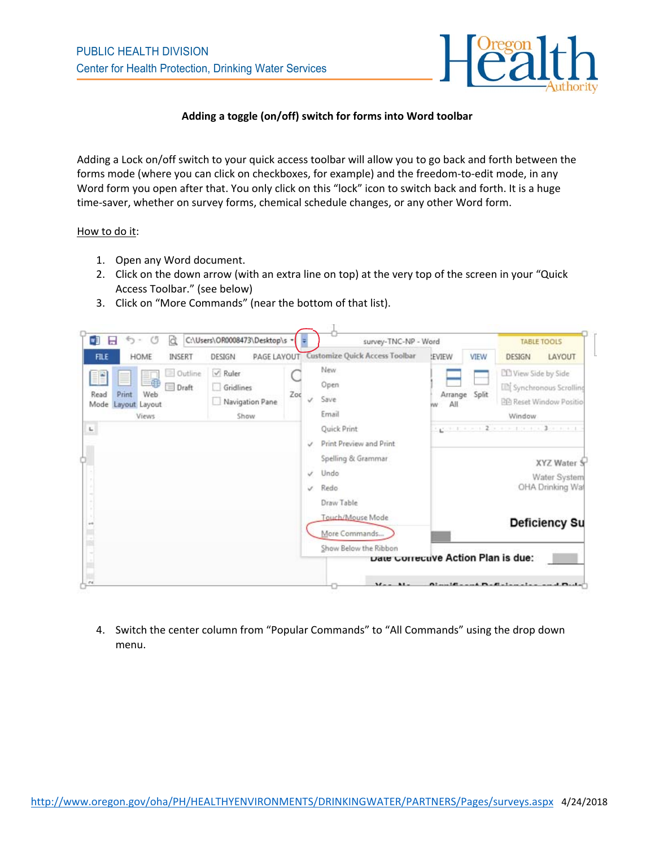

## **Adding a toggle (on/off) switch for forms into Word toolbar**

Adding a Lock on/off switch to your quick access toolbar will allow you to go back and forth between the forms mode (where you can click on checkboxes, for example) and the freedom-to-edit mode, in any Word form you open after that. You only click on this "lock" icon to switch back and forth. It is a huge time-saver, whether on survey forms, chemical schedule changes, or any other Word form.

## How to do it:

- 1. Open any Word document.
- 2. Click on the down arrow (with an extra line on top) at the very top of the screen in your "Quick Access Toolbar." (see below)
- 3. Click on "More Commands" (near the bottom of that list).

| $\circ$<br>a<br>C:\Users\OR0008473\Desktop\s =<br>×<br>ち -<br>н                                 |                                                      |     | survey-TNC-NP - Word                                                                         |              |               | <b>TABLE TOOLS</b>                                                                                    |  |
|-------------------------------------------------------------------------------------------------|------------------------------------------------------|-----|----------------------------------------------------------------------------------------------|--------------|---------------|-------------------------------------------------------------------------------------------------------|--|
| HOME<br><b>FILE</b><br>INSERT                                                                   | PAGE LAYOUT<br>DESIGN                                |     | Customize Quick Access Toolbar                                                               | <b>EVIEW</b> | VIEW          | LAYOUT<br>DESIGN                                                                                      |  |
| Outline<br>FP<br>L.<br>$\equiv$ Draft<br>Web<br>Print<br>Read<br>Layout Layout<br>Mode<br>Views | $\vee$ Ruler<br>Gridlines<br>Navigation Pane<br>Show | Zoc | New.<br>Open<br>Save<br>J.<br>Email                                                          | All<br>w     | Arrange Split | <b>CLI View Side by Side</b><br>[E] Synchronous Scrolling<br><b>PP Reset Window Positio</b><br>Window |  |
| $\mathbf{L}_i$                                                                                  |                                                      |     | Quick Print<br>Print Preview and Print<br>s<br>Spelling & Grammar<br>Undo<br>s<br>Redo<br>J. |              |               | rgent cont2 contracts 2 a not<br>XYZ Water S<br>Water System<br>OHA Drinking Wa                       |  |
|                                                                                                 |                                                      |     | Draw Table<br>Touch/Mouse Mode<br>More Commands<br>Show Below the Ribbon                     |              |               | <b>Deficiency Su</b>                                                                                  |  |

4. Switch the center column from "Popular Commands" to "All Commands" using the drop down menu.